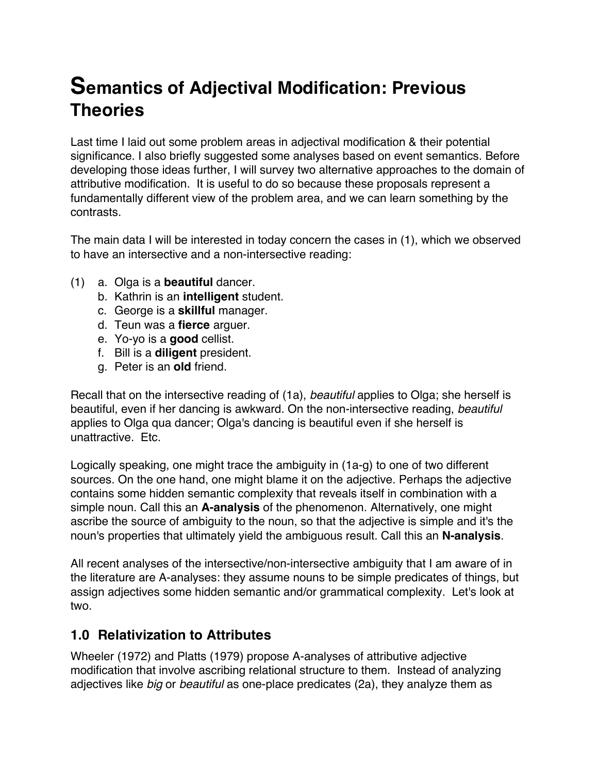# **Semantics of Adjectival Modification: Previous Theories**

Last time I laid out some problem areas in adjectival modification & their potential significance. I also briefly suggested some analyses based on event semantics. Before developing those ideas further, I will survey two alternative approaches to the domain of attributive modification. It is useful to do so because these proposals represent a fundamentally different view of the problem area, and we can learn something by the contrasts.

The main data I will be interested in today concern the cases in (1), which we observed to have an intersective and a non-intersective reading:

- (1) a. Olga is a **beautiful** dancer.
	- b. Kathrin is an **intelligent** student.
	- c. George is a **skillful** manager.
	- d. Teun was a **fierce** arguer.
	- e. Yo-yo is a **good** cellist.
	- f. Bill is a **diligent** president.
	- g. Peter is an **old** friend.

Recall that on the intersective reading of (1a), *beautiful* applies to Olga; she herself is beautiful, even if her dancing is awkward. On the non-intersective reading, *beautiful* applies to Olga qua dancer; Olga's dancing is beautiful even if she herself is unattractive. Etc.

Logically speaking, one might trace the ambiguity in (1a-g) to one of two different sources. On the one hand, one might blame it on the adjective. Perhaps the adjective contains some hidden semantic complexity that reveals itself in combination with a simple noun. Call this an **A-analysis** of the phenomenon. Alternatively, one might ascribe the source of ambiguity to the noun, so that the adjective is simple and it's the noun's properties that ultimately yield the ambiguous result. Call this an **N-analysis**.

All recent analyses of the intersective/non-intersective ambiguity that I am aware of in the literature are A-analyses: they assume nouns to be simple predicates of things, but assign adjectives some hidden semantic and/or grammatical complexity. Let's look at two.

# **1.0 Relativization to Attributes**

Wheeler (1972) and Platts (1979) propose A-analyses of attributive adjective modification that involve ascribing relational structure to them. Instead of analyzing adjectives like *big* or *beautiful* as one-place predicates (2a), they analyze them as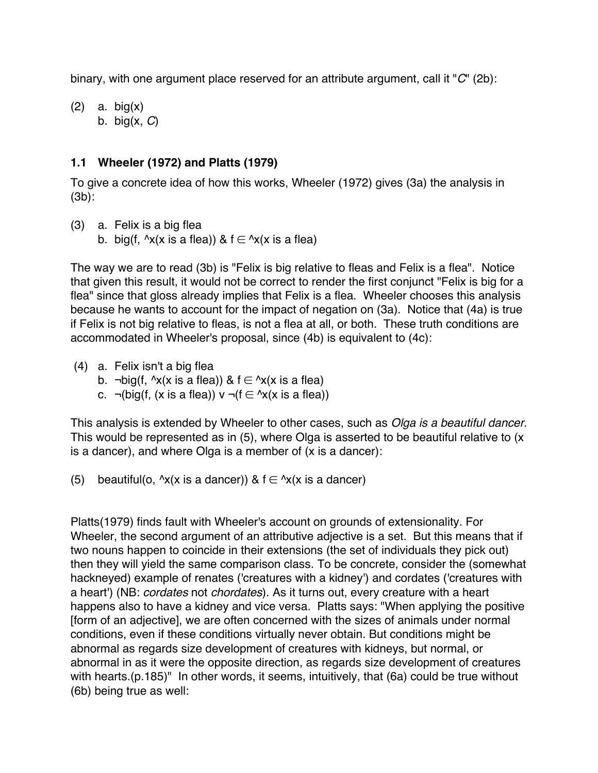binary, with one argument place reserved for an attribute argument, call it "*C*" (2b):

(2) a. big(x) b. big(x, *C*)

#### **1.1 Wheeler (1972) and Platts (1979)**

To give a concrete idea of how this works, Wheeler (1972) gives (3a) the analysis in (3b):

- (3) a. Felix is a big flea
	- b. big(f,  $\lambda x(x)$  is a flea)) &  $f \in \lambda x(x)$  is a flea)

The way we are to read (3b) is "Felix is big relative to fleas and Felix is a flea". Notice that given this result, it would not be correct to render the first conjunct "Felix is big for a flea" since that gloss already implies that Felix is a flea. Wheeler chooses this analysis because he wants to account for the impact of negation on (3a). Notice that (4a) is true if Felix is not big relative to fleas, is not a flea at all, or both. These truth conditions are accommodated in Wheeler's proposal, since (4b) is equivalent to (4c):

- (4) a. Felix isn't a big flea
	- b. ¬big(f,  $\lambda x(x)$  is a flea)) & f  $\in \lambda x(x)$  is a flea)
	- c.  $\neg(big(f, (x is a flea)) \vee \neg(f \in \neg(x(x is a flea))$

This analysis is extended by Wheeler to other cases, such as *Olga is a beautiful dancer*. This would be represented as in (5), where Olga is asserted to be beautiful relative to (x is a dancer), and where Olga is a member of (x is a dancer):

(5) beautiful(o,  $\lambda x(x)$  is a dancer)) &  $f \in \lambda x(x)$  is a dancer)

Platts(1979) finds fault with Wheeler's account on grounds of extensionality. For Wheeler, the second argument of an attributive adjective is a set. But this means that if two nouns happen to coincide in their extensions (the set of individuals they pick out) then they will yield the same comparison class. To be concrete, consider the (somewhat hackneyed) example of renates ('creatures with a kidney') and cordates ('creatures with a heart') (NB: *cordates* not *chordates*). As it turns out, every creature with a heart happens also to have a kidney and vice versa. Platts says: "When applying the positive [form of an adjective], we are often concerned with the sizes of animals under normal conditions, even if these conditions virtually never obtain. But conditions might be abnormal as regards size development of creatures with kidneys, but normal, or abnormal in as it were the opposite direction, as regards size development of creatures with hearts.(p.185)" In other words, it seems, intuitively, that (6a) could be true without (6b) being true as well: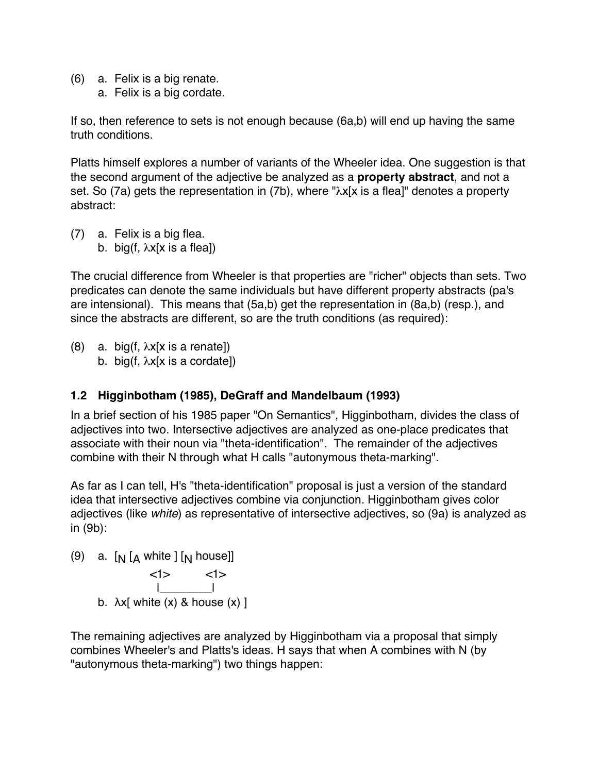- (6) a. Felix is a big renate.
	- a. Felix is a big cordate.

If so, then reference to sets is not enough because (6a,b) will end up having the same truth conditions.

Platts himself explores a number of variants of the Wheeler idea. One suggestion is that the second argument of the adjective be analyzed as a **property abstract**, and not a set. So (7a) gets the representation in (7b), where "λx[x is a flea]" denotes a property abstract:

(7) a. Felix is a big flea. b. big(f,  $\lambda x$ [x is a flea])

The crucial difference from Wheeler is that properties are "richer" objects than sets. Two predicates can denote the same individuals but have different property abstracts (pa's are intensional). This means that (5a,b) get the representation in (8a,b) (resp.), and since the abstracts are different, so are the truth conditions (as required):

(8) a. big(f,  $\lambda x$ [x is a renate]) b. big(f,  $\lambda x$ [x is a cordate])

# **1.2 Higginbotham (1985), DeGraff and Mandelbaum (1993)**

In a brief section of his 1985 paper "On Semantics", Higginbotham, divides the class of adjectives into two. Intersective adjectives are analyzed as one-place predicates that associate with their noun via "theta-identification". The remainder of the adjectives combine with their N through what H calls "autonymous theta-marking".

As far as I can tell, H's "theta-identification" proposal is just a version of the standard idea that intersective adjectives combine via conjunction. Higginbotham gives color adjectives (like *white*) as representative of intersective adjectives, so (9a) is analyzed as in (9b):

(9) a. [<sub>N</sub> [<sub>A</sub> white ] [<sub>N</sub> house]]



The remaining adjectives are analyzed by Higginbotham via a proposal that simply combines Wheeler's and Platts's ideas. H says that when A combines with N (by "autonymous theta-marking") two things happen: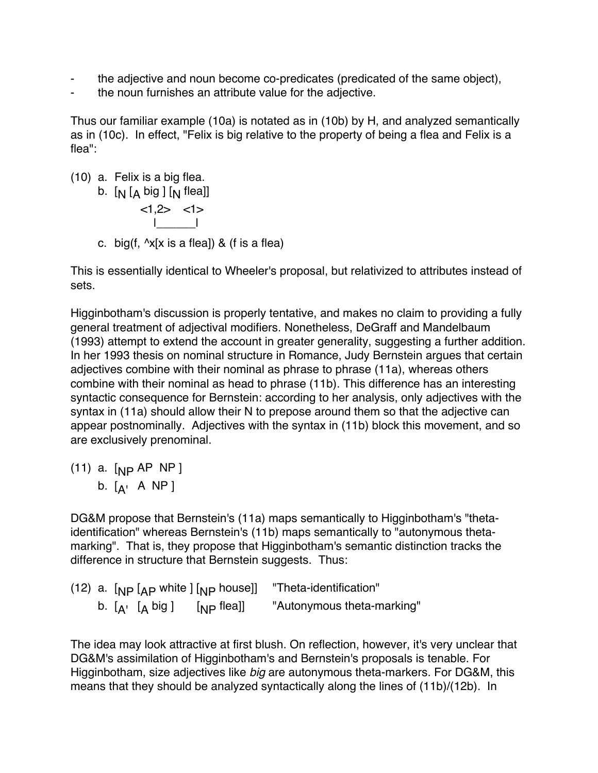- the adjective and noun become co-predicates (predicated of the same object),
- the noun furnishes an attribute value for the adjective.

Thus our familiar example (10a) is notated as in (10b) by H, and analyzed semantically as in (10c). In effect, "Felix is big relative to the property of being a flea and Felix is a flea":

- (10) a. Felix is a big flea.
	- b. [<sub>N</sub> [<sub>A</sub> big ] [<sub>N</sub> flea]] <1,2> <1>  $\frac{1}{\sqrt{2}}$
	- c. big(f,  $\sqrt{x}$ [x is a flea]) & (f is a flea)

This is essentially identical to Wheeler's proposal, but relativized to attributes instead of sets.

Higginbotham's discussion is properly tentative, and makes no claim to providing a fully general treatment of adjectival modifiers. Nonetheless, DeGraff and Mandelbaum (1993) attempt to extend the account in greater generality, suggesting a further addition. In her 1993 thesis on nominal structure in Romance, Judy Bernstein argues that certain adjectives combine with their nominal as phrase to phrase (11a), whereas others combine with their nominal as head to phrase (11b). This difference has an interesting syntactic consequence for Bernstein: according to her analysis, only adjectives with the syntax in (11a) should allow their N to prepose around them so that the adjective can appear postnominally. Adjectives with the syntax in (11b) block this movement, and so are exclusively prenominal.

(11) a. [<sub>NP</sub> AP NP ] b. [<sub>A'</sub> A NP ]

DG&M propose that Bernstein's (11a) maps semantically to Higginbotham's "thetaidentification" whereas Bernstein's (11b) maps semantically to "autonymous thetamarking". That is, they propose that Higginbotham's semantic distinction tracks the difference in structure that Bernstein suggests. Thus:

(12) a. [ NP [ AP white ] [NP house]] "Theta-identification" b. [<sub>A'</sub> [<sub>A</sub> big ] [ "Autonymous theta-marking"

The idea may look attractive at first blush. On reflection, however, it's very unclear that DG&M's assimilation of Higginbotham's and Bernstein's proposals is tenable. For Higginbotham, size adjectives like *big* are autonymous theta-markers. For DG&M, this means that they should be analyzed syntactically along the lines of (11b)/(12b). In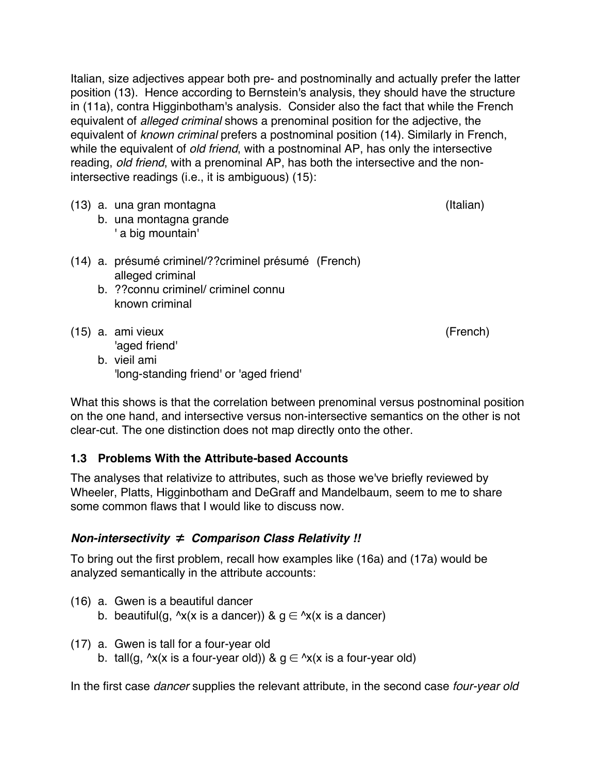Italian, size adjectives appear both pre- and postnominally and actually prefer the latter position (13). Hence according to Bernstein's analysis, they should have the structure in (11a), contra Higginbotham's analysis. Consider also the fact that while the French equivalent of *alleged criminal* shows a prenominal position for the adjective, the equivalent of *known criminal* prefers a postnominal position (14). Similarly in French, while the equivalent of *old friend*, with a postnominal AP, has only the intersective reading, *old friend*, with a prenominal AP, has both the intersective and the nonintersective readings (i.e., it is ambiguous) (15):

- (13) a. una gran montagna (Italian)
	- b. una montagna grande ' a big mountain'
- (14) a. présumé criminel/??criminel présumé (French) alleged criminal
	- b. ??connu criminel/ criminel connu known criminal
- (15) a. ami vieux (French) 'aged friend'

b. vieil ami 'long-standing friend' or 'aged friend'

What this shows is that the correlation between prenominal versus postnominal position on the one hand, and intersective versus non-intersective semantics on the other is not clear-cut. The one distinction does not map directly onto the other.

#### **1.3 Problems With the Attribute-based Accounts**

The analyses that relativize to attributes, such as those we've briefly reviewed by Wheeler, Platts, Higginbotham and DeGraff and Mandelbaum, seem to me to share some common flaws that I would like to discuss now.

# *Non-intersectivity* ≠ *Comparison Class Relativity !!*

To bring out the first problem, recall how examples like (16a) and (17a) would be analyzed semantically in the attribute accounts:

- (16) a. Gwen is a beautiful dancer
	- b. beautiful(g,  $\lambda x(x)$  is a dancer)) &  $g \in \lambda x(x)$  is a dancer)
- (17) a. Gwen is tall for a four-year old
	- b. tall(g,  $\Delta x$ (x is a four-year old)) &  $g \in \Delta x$ (x is a four-year old)

In the first case *dancer* supplies the relevant attribute, in the second case *four-year old*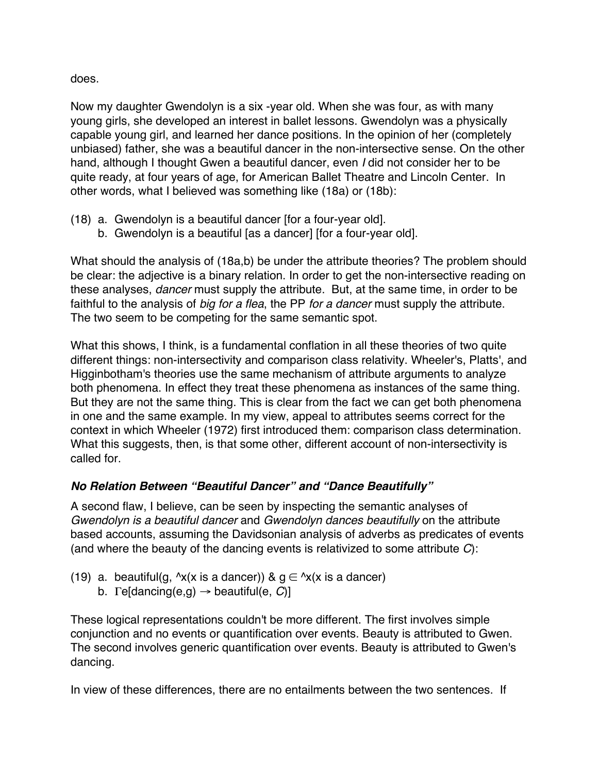does.

Now my daughter Gwendolyn is a six -year old. When she was four, as with many young girls, she developed an interest in ballet lessons. Gwendolyn was a physically capable young girl, and learned her dance positions. In the opinion of her (completely unbiased) father, she was a beautiful dancer in the non-intersective sense. On the other hand, although I thought Gwen a beautiful dancer, even *I* did not consider her to be quite ready, at four years of age, for American Ballet Theatre and Lincoln Center. In other words, what I believed was something like (18a) or (18b):

- (18) a. Gwendolyn is a beautiful dancer [for a four-year old].
	- b. Gwendolyn is a beautiful [as a dancer] [for a four-year old].

What should the analysis of (18a,b) be under the attribute theories? The problem should be clear: the adjective is a binary relation. In order to get the non-intersective reading on these analyses, *dancer* must supply the attribute. But, at the same time, in order to be faithful to the analysis of *big for a flea*, the PP *for a dancer* must supply the attribute. The two seem to be competing for the same semantic spot.

What this shows, I think, is a fundamental conflation in all these theories of two quite different things: non-intersectivity and comparison class relativity. Wheeler's, Platts', and Higginbotham's theories use the same mechanism of attribute arguments to analyze both phenomena. In effect they treat these phenomena as instances of the same thing. But they are not the same thing. This is clear from the fact we can get both phenomena in one and the same example. In my view, appeal to attributes seems correct for the context in which Wheeler (1972) first introduced them: comparison class determination. What this suggests, then, is that some other, different account of non-intersectivity is called for.

# *No Relation Between "Beautiful Dancer" and "Dance Beautifully"*

A second flaw, I believe, can be seen by inspecting the semantic analyses of *Gwendolyn is a beautiful dancer* and *Gwendolyn dances beautifully* on the attribute based accounts, assuming the Davidsonian analysis of adverbs as predicates of events (and where the beauty of the dancing events is relativized to some attribute *C*):

- (19) a. beautiful(g,  $\sqrt{x}$ (x is a dancer)) &  $g \in \sqrt{x}$ (x is a dancer)
	- b. Γe[dancing(e,g) → beautiful(e, *C*)]

These logical representations couldn't be more different. The first involves simple conjunction and no events or quantification over events. Beauty is attributed to Gwen. The second involves generic quantification over events. Beauty is attributed to Gwen's dancing.

In view of these differences, there are no entailments between the two sentences. If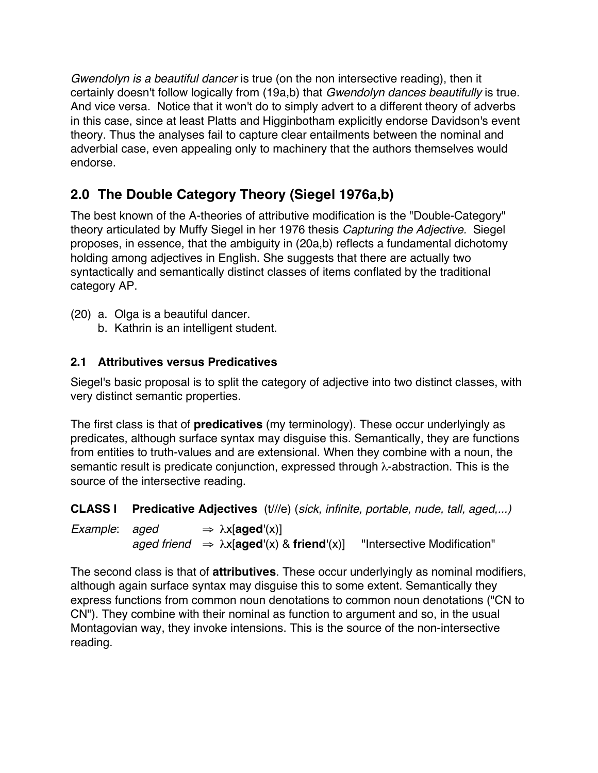*Gwendolyn is a beautiful dancer* is true (on the non intersective reading), then it certainly doesn't follow logically from (19a,b) that *Gwendolyn dances beautifully* is true. And vice versa. Notice that it won't do to simply advert to a different theory of adverbs in this case, since at least Platts and Higginbotham explicitly endorse Davidson's event theory. Thus the analyses fail to capture clear entailments between the nominal and adverbial case, even appealing only to machinery that the authors themselves would endorse.

# **2.0 The Double Category Theory (Siegel 1976a,b)**

The best known of the A-theories of attributive modification is the "Double-Category" theory articulated by Muffy Siegel in her 1976 thesis *Capturing the Adjective.* Siegel proposes, in essence, that the ambiguity in (20a,b) reflects a fundamental dichotomy holding among adjectives in English. She suggests that there are actually two syntactically and semantically distinct classes of items conflated by the traditional category AP.

- (20) a. Olga is a beautiful dancer.
	- b. Kathrin is an intelligent student.

# **2.1 Attributives versus Predicatives**

Siegel's basic proposal is to split the category of adjective into two distinct classes, with very distinct semantic properties.

The first class is that of **predicatives** (my terminology). These occur underlyingly as predicates, although surface syntax may disguise this. Semantically, they are functions from entities to truth-values and are extensional. When they combine with a noun, the semantic result is predicate conjunction, expressed through λ-abstraction. This is the source of the intersective reading.

**CLASS I Predicative Adjectives** (t///e) (*sick, infinite, portable, nude, tall, aged,...)*

*Example*: *aged*  $\Rightarrow \lambda x[\text{aged}'(x)]$ *aged friend* ⇒ λx[**aged**'(x) & **friend**'(x)] "Intersective Modification"

The second class is that of **attributives**. These occur underlyingly as nominal modifiers, although again surface syntax may disguise this to some extent. Semantically they express functions from common noun denotations to common noun denotations ("CN to CN"). They combine with their nominal as function to argument and so, in the usual Montagovian way, they invoke intensions. This is the source of the non-intersective reading.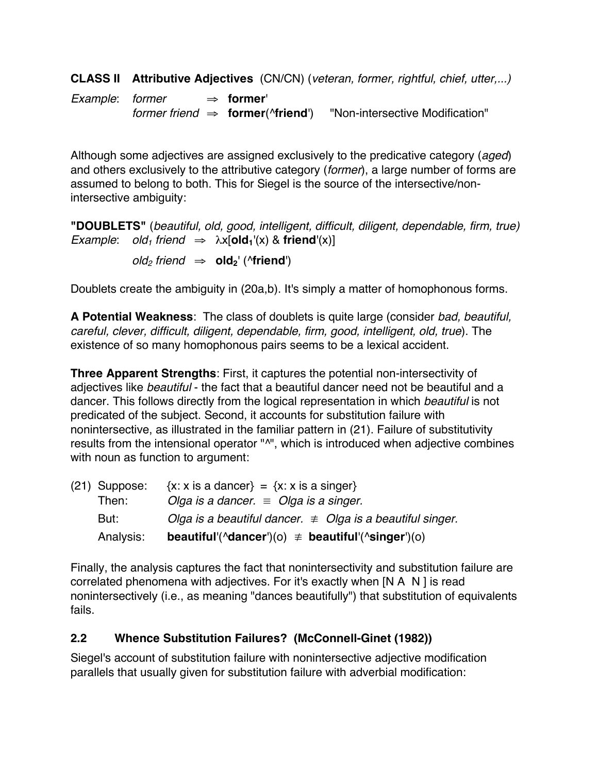**CLASS II Attributive Adjectives** (CN/CN) (*veteran, former, rightful, chief, utter,...)*

*Example*: *former* ⇒ **former**' *former friend* ⇒ **former**(^**friend**') "Non-intersective Modification"

Although some adjectives are assigned exclusively to the predicative category (*aged*) and others exclusively to the attributive category (*former*), a large number of forms are assumed to belong to both. This for Siegel is the source of the intersective/nonintersective ambiguity:

**"DOUBLETS"** (*beautiful, old, good, intelligent, difficult, diligent, dependable, firm, true) Example*: *old<sub>1</sub> friend*  $\Rightarrow \lambda x[old_1'(x) \& \textbf{friend}'(x)]$ 

 $old_2$  *friend*  $\Rightarrow$  **old**<sub>2</sub><sup>'</sup> (**^friend**<sup>'</sup>)

Doublets create the ambiguity in (20a,b). It's simply a matter of homophonous forms.

**A Potential Weakness**: The class of doublets is quite large (consider *bad, beautiful, careful, clever, difficult, diligent, dependable, firm, good, intelligent, old, true*). The existence of so many homophonous pairs seems to be a lexical accident.

**Three Apparent Strengths**: First, it captures the potential non-intersectivity of adjectives like *beautiful* - the fact that a beautiful dancer need not be beautiful and a dancer. This follows directly from the logical representation in which *beautiful* is not predicated of the subject. Second, it accounts for substitution failure with nonintersective, as illustrated in the familiar pattern in (21). Failure of substitutivity results from the intensional operator "^", which is introduced when adjective combines with noun as function to argument:

| $(21)$ Suppose: | $\{x: x \text{ is a dancer}\} = \{x: x \text{ is a singer}\}$                            |
|-----------------|------------------------------------------------------------------------------------------|
| Then:           | Olga is a dancer. $\equiv$ Olga is a singer.                                             |
| But:            | Olga is a beautiful dancer. $\neq$ Olga is a beautiful singer.                           |
| Analysis:       | <b>beautiful'</b> ( $\Delta$ dancer')(o) $\neq$ <b>beautiful'</b> ( $\Delta$ singer')(o) |

Finally, the analysis captures the fact that nonintersectivity and substitution failure are correlated phenomena with adjectives. For it's exactly when [N A N ] is read nonintersectively (i.e., as meaning "dances beautifully") that substitution of equivalents fails.

#### **2.2 Whence Substitution Failures? (McConnell-Ginet (1982))**

Siegel's account of substitution failure with nonintersective adjective modification parallels that usually given for substitution failure with adverbial modification: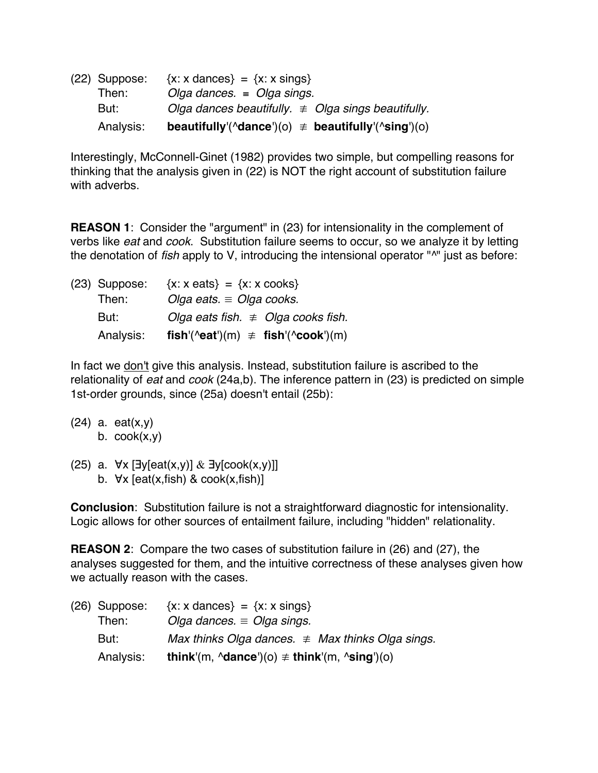| (22) Suppose: | $\{x: x \text{ dances}\} = \{x: x \text{ sing}\}\$                        |
|---------------|---------------------------------------------------------------------------|
| Then:         | Olga dances. $=$ Olga sings.                                              |
| But:          | Olga dances beautifully. $\neq$ Olga sings beautifully.                   |
| Analysis:     | beautifully'( $\Delta$ dance')(o) $\neq$ beautifully'( $\Delta$ sing')(o) |

Interestingly, McConnell-Ginet (1982) provides two simple, but compelling reasons for thinking that the analysis given in (22) is NOT the right account of substitution failure with adverbs.

**REASON 1**: Consider the "argument" in (23) for intensionality in the complement of verbs like *eat* and *cook*. Substitution failure seems to occur, so we analyze it by letting the denotation of *fish* apply to V, introducing the intensional operator "^" just as before:

| $(23)$ Suppose: | $\{x: x \in \{x: x \in \{0\}\}\}$ = $\{x: x \in \{0\}$           |  |
|-----------------|------------------------------------------------------------------|--|
| Then:           | Olga eats. $\equiv$ Olga cooks.                                  |  |
| But:            | Olga eats fish. $\neq$ Olga cooks fish.                          |  |
| Analysis:       | fish'( $\text{``eat''}(m) \neq \text{fish'}(\text{``cook''}(m))$ |  |

In fact we don't give this analysis. Instead, substitution failure is ascribed to the relationality of *eat* and *cook* (24a,b). The inference pattern in (23) is predicted on simple 1st-order grounds, since (25a) doesn't entail (25b):

- (24) a. eat(x,y) b.  $\text{cook}(x, y)$
- (25) a. ∀x [∃y[eat(x,y)] & ∃y[cook(x,y)]] b.  $\forall x$  [eat(x, fish) & cook(x, fish)]

**Conclusion**: Substitution failure is not a straightforward diagnostic for intensionality. Logic allows for other sources of entailment failure, including "hidden" relationality.

**REASON 2**: Compare the two cases of substitution failure in (26) and (27), the analyses suggested for them, and the intuitive correctness of these analyses given how we actually reason with the cases.

| $(26)$ Suppose: | $\{x: x \text{ dances}\} = \{x: x \text{ sings}\}\$               |
|-----------------|-------------------------------------------------------------------|
| Then:           | Olga dances. $\equiv$ Olga sings.                                 |
| But:            | Max thinks Olga dances. $\neq$ Max thinks Olga sings.             |
| Analysis:       | think'(m, $\Delta$ dance')(o) $\neq$ think'(m, $\Delta$ sing')(o) |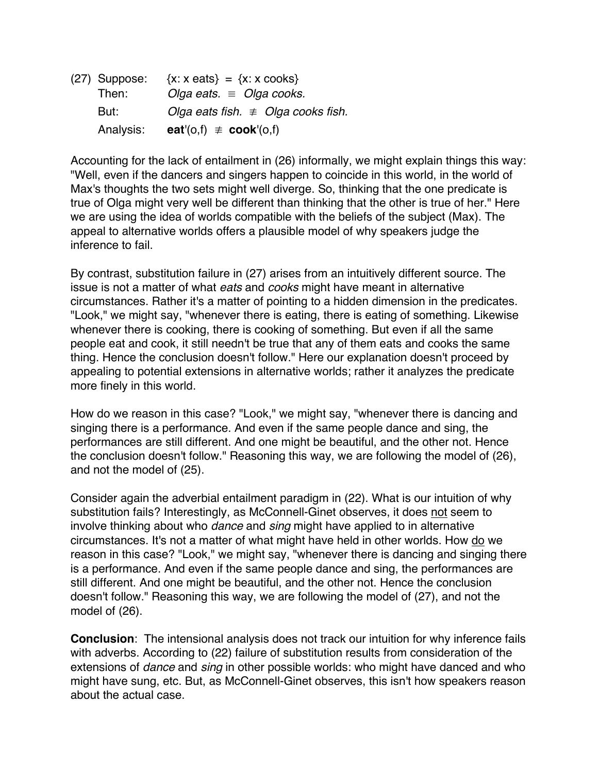(27) Suppose:  $\{x: x \text{ eats}\} = \{x: x \text{ cookies}\}$ Then: *Olga eats.* ≡ *Olga cooks.* But: *Olga eats fish.* ≢ *Olga cooks fish.* Analysis: **eat**'(o,f)  $\neq$  **cook**'(o,f)

Accounting for the lack of entailment in (26) informally, we might explain things this way: "Well, even if the dancers and singers happen to coincide in this world, in the world of Max's thoughts the two sets might well diverge. So, thinking that the one predicate is true of Olga might very well be different than thinking that the other is true of her." Here we are using the idea of worlds compatible with the beliefs of the subject (Max). The appeal to alternative worlds offers a plausible model of why speakers judge the inference to fail.

By contrast, substitution failure in (27) arises from an intuitively different source. The issue is not a matter of what *eats* and *cooks* might have meant in alternative circumstances. Rather it's a matter of pointing to a hidden dimension in the predicates. "Look," we might say, "whenever there is eating, there is eating of something. Likewise whenever there is cooking, there is cooking of something. But even if all the same people eat and cook, it still needn't be true that any of them eats and cooks the same thing. Hence the conclusion doesn't follow." Here our explanation doesn't proceed by appealing to potential extensions in alternative worlds; rather it analyzes the predicate more finely in this world.

How do we reason in this case? "Look," we might say, "whenever there is dancing and singing there is a performance. And even if the same people dance and sing, the performances are still different. And one might be beautiful, and the other not. Hence the conclusion doesn't follow." Reasoning this way, we are following the model of (26), and not the model of (25).

Consider again the adverbial entailment paradigm in (22). What is our intuition of why substitution fails? Interestingly, as McConnell-Ginet observes, it does not seem to involve thinking about who *dance* and *sing* might have applied to in alternative circumstances. It's not a matter of what might have held in other worlds. How do we reason in this case? "Look," we might say, "whenever there is dancing and singing there is a performance. And even if the same people dance and sing, the performances are still different. And one might be beautiful, and the other not. Hence the conclusion doesn't follow." Reasoning this way, we are following the model of (27), and not the model of (26).

**Conclusion**: The intensional analysis does not track our intuition for why inference fails with adverbs. According to (22) failure of substitution results from consideration of the extensions of *dance* and *sing* in other possible worlds: who might have danced and who might have sung, etc. But, as McConnell-Ginet observes, this isn't how speakers reason about the actual case.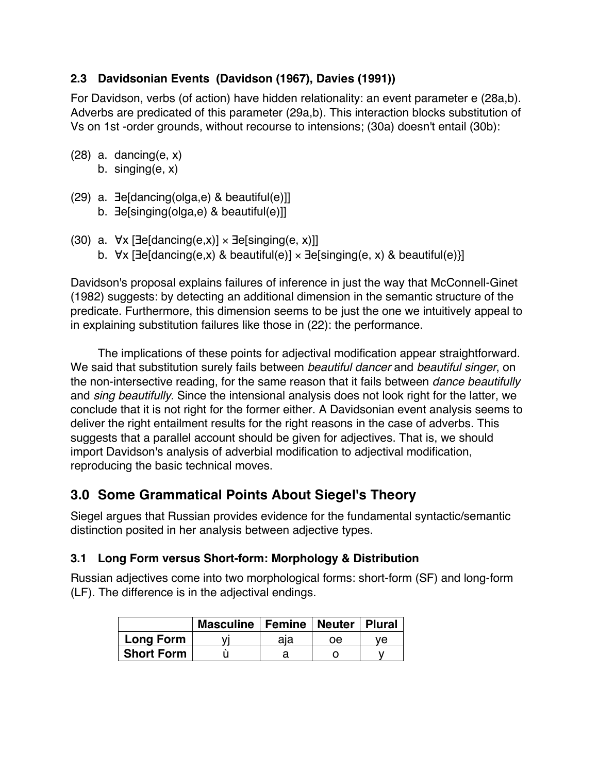# **2.3 Davidsonian Events (Davidson (1967), Davies (1991))**

For Davidson, verbs (of action) have hidden relationality: an event parameter e (28a,b). Adverbs are predicated of this parameter (29a,b). This interaction blocks substitution of Vs on 1st -order grounds, without recourse to intensions; (30a) doesn't entail (30b):

- $(28)$  a. dancing $(e, x)$ b. singing(e, x)
	-
- (29) a. ∃e[dancing(olga,e) & beautiful(e)]]
	- b. ∃e[singing(olga,e) & beautiful(e)]]
- (30) a.  $\forall x$  [∃e[dancing(e,x)] × ∃e[singing(e, x)]]
	- b. ∀x [∃e[dancing(e,x) & beautiful(e)] × ∃e[singing(e, x) & beautiful(e)}]

Davidson's proposal explains failures of inference in just the way that McConnell-Ginet (1982) suggests: by detecting an additional dimension in the semantic structure of the predicate. Furthermore, this dimension seems to be just the one we intuitively appeal to in explaining substitution failures like those in (22): the performance.

The implications of these points for adjectival modification appear straightforward. We said that substitution surely fails between *beautiful dancer* and *beautiful singer*, on the non-intersective reading, for the same reason that it fails between *dance beautifully* and *sing beautifully*. Since the intensional analysis does not look right for the latter, we conclude that it is not right for the former either. A Davidsonian event analysis seems to deliver the right entailment results for the right reasons in the case of adverbs. This suggests that a parallel account should be given for adjectives. That is, we should import Davidson's analysis of adverbial modification to adjectival modification, reproducing the basic technical moves.

# **3.0 Some Grammatical Points About Siegel's Theory**

Siegel argues that Russian provides evidence for the fundamental syntactic/semantic distinction posited in her analysis between adjective types.

# **3.1 Long Form versus Short-form: Morphology & Distribution**

Russian adjectives come into two morphological forms: short-form (SF) and long-form (LF). The difference is in the adjectival endings.

|                   | Masculine   Femine   Neuter   Plural |     |    |     |
|-------------------|--------------------------------------|-----|----|-----|
| <b>Long Form</b>  |                                      | aia | οe | ve. |
| <b>Short Form</b> |                                      |     |    |     |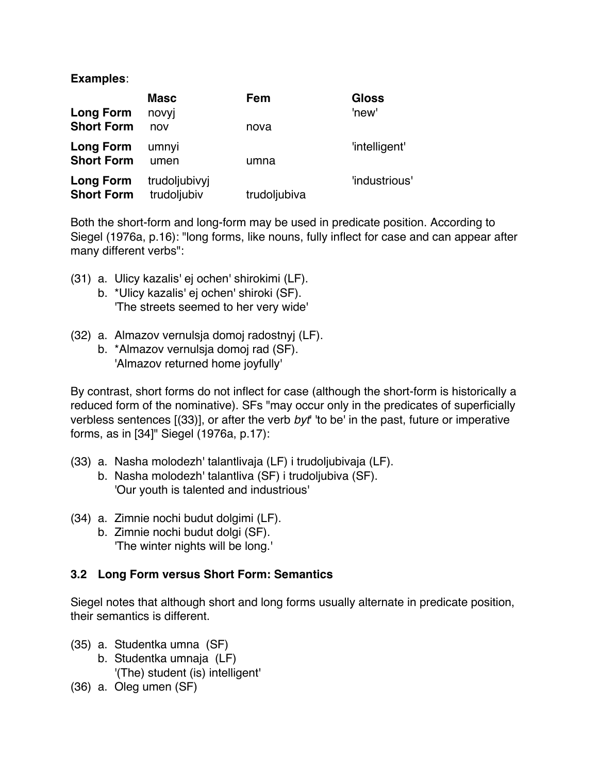#### **Examples**:

|                   | <b>Masc</b>   | Fem          | <b>Gloss</b>  |
|-------------------|---------------|--------------|---------------|
| <b>Long Form</b>  | novyj         |              | 'new'         |
| <b>Short Form</b> | nov           | nova         |               |
| <b>Long Form</b>  | umnyi         |              | 'intelligent' |
| <b>Short Form</b> | umen          | umna         |               |
| Long Form         | trudoljubivyj |              | 'industrious' |
| <b>Short Form</b> | trudoljubiv   | trudoljubiva |               |

Both the short-form and long-form may be used in predicate position. According to Siegel (1976a, p.16): "long forms, like nouns, fully inflect for case and can appear after many different verbs":

- (31) a. Ulicy kazalis' ej ochen' shirokimi (LF).
	- b. \*Ulicy kazalis' ej ochen' shiroki (SF). 'The streets seemed to her very wide'
- (32) a. Almazov vernulsja domoj radostnyj (LF).
	- b. \*Almazov vernulsja domoj rad (SF). 'Almazov returned home joyfully'

By contrast, short forms do not inflect for case (although the short-form is historically a reduced form of the nominative). SFs "may occur only in the predicates of superficially verbless sentences [(33)], or after the verb *byt*' 'to be' in the past, future or imperative forms, as in [34]" Siegel (1976a, p.17):

- (33) a. Nasha molodezh' talantlivaja (LF) i trudoljubivaja (LF).
	- b. Nasha molodezh' talantliva (SF) i trudoljubiva (SF). 'Our youth is talented and industrious'
- (34) a. Zimnie nochi budut dolgimi (LF).
	- b. Zimnie nochi budut dolgi (SF). 'The winter nights will be long.'

#### **3.2 Long Form versus Short Form: Semantics**

Siegel notes that although short and long forms usually alternate in predicate position, their semantics is different.

- (35) a. Studentka umna (SF)
	- b. Studentka umnaja (LF) '(The) student (is) intelligent'
- (36) a. Oleg umen (SF)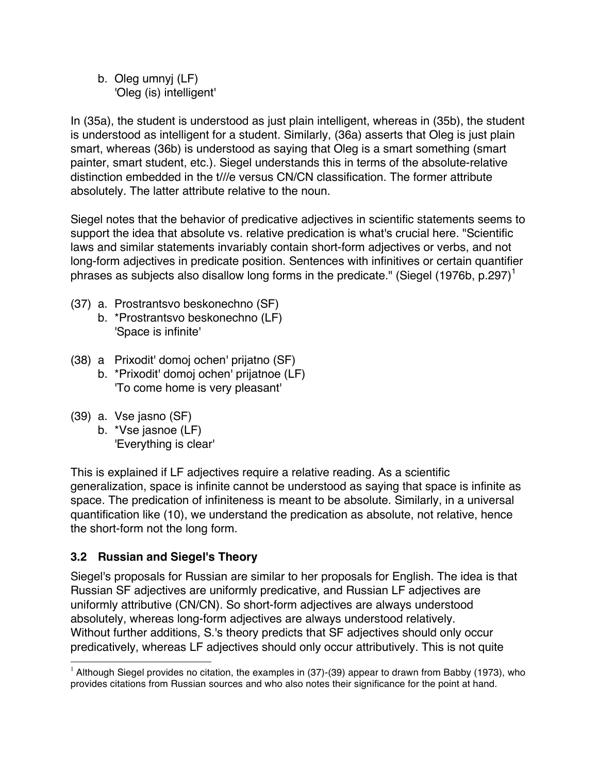b. Oleg umnyj (LF) 'Oleg (is) intelligent'

In (35a), the student is understood as just plain intelligent, whereas in (35b), the student is understood as intelligent for a student. Similarly, (36a) asserts that Oleg is just plain smart, whereas (36b) is understood as saying that Oleg is a smart something (smart painter, smart student, etc.). Siegel understands this in terms of the absolute-relative distinction embedded in the t///e versus CN/CN classification. The former attribute absolutely. The latter attribute relative to the noun.

Siegel notes that the behavior of predicative adjectives in scientific statements seems to support the idea that absolute vs. relative predication is what's crucial here. "Scientific laws and similar statements invariably contain short-form adjectives or verbs, and not long-form adjectives in predicate position. Sentences with infinitives or certain quantifier phrases as subjects also disallow long forms in the predicate." (Siegel (1976b, p.297)<sup>1</sup>

- (37) a. Prostrantsvo beskonechno (SF)
	- b. \*Prostrantsvo beskonechno (LF) 'Space is infinite'
- (38) a Prixodit' domoj ochen' prijatno (SF)
	- b. \*Prixodit' domoj ochen' prijatnoe (LF) 'To come home is very pleasant'
- (39) a. Vse jasno (SF)
	- b. \*Vse jasnoe (LF) 'Everything is clear'

This is explained if LF adjectives require a relative reading. As a scientific generalization, space is infinite cannot be understood as saying that space is infinite as space. The predication of infiniteness is meant to be absolute. Similarly, in a universal quantification like (10), we understand the predication as absolute, not relative, hence the short-form not the long form.

#### **3.2 Russian and Siegel's Theory**

Siegel's proposals for Russian are similar to her proposals for English. The idea is that Russian SF adjectives are uniformly predicative, and Russian LF adjectives are uniformly attributive (CN/CN). So short-form adjectives are always understood absolutely, whereas long-form adjectives are always understood relatively. Without further additions, S.'s theory predicts that SF adjectives should only occur predicatively, whereas LF adjectives should only occur attributively. This is not quite

 $1$  Although Siegel provides no citation, the examples in (37)-(39) appear to drawn from Babby (1973), who provides citations from Russian sources and who also notes their significance for the point at hand.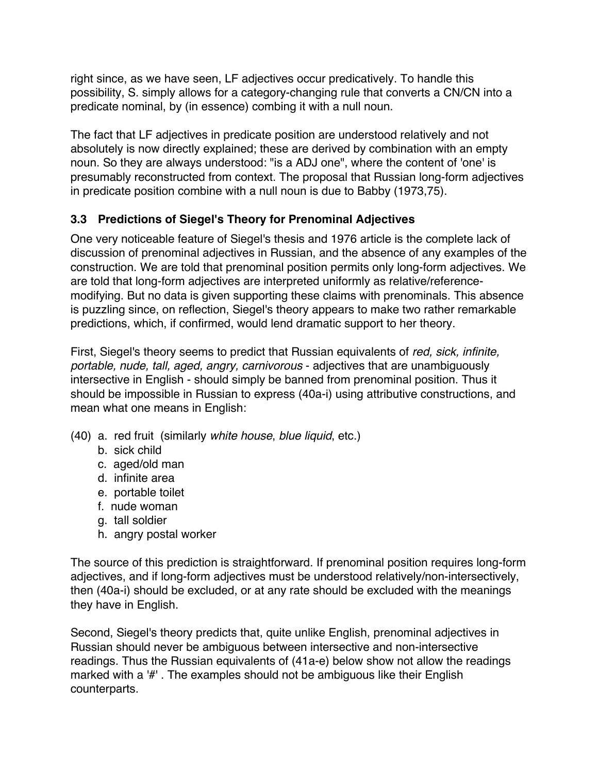right since, as we have seen, LF adjectives occur predicatively. To handle this possibility, S. simply allows for a category-changing rule that converts a CN/CN into a predicate nominal, by (in essence) combing it with a null noun.

The fact that LF adjectives in predicate position are understood relatively and not absolutely is now directly explained; these are derived by combination with an empty noun. So they are always understood: "is a ADJ one", where the content of 'one' is presumably reconstructed from context. The proposal that Russian long-form adjectives in predicate position combine with a null noun is due to Babby (1973,75).

## **3.3 Predictions of Siegel's Theory for Prenominal Adjectives**

One very noticeable feature of Siegel's thesis and 1976 article is the complete lack of discussion of prenominal adjectives in Russian, and the absence of any examples of the construction. We are told that prenominal position permits only long-form adjectives. We are told that long-form adjectives are interpreted uniformly as relative/referencemodifying. But no data is given supporting these claims with prenominals. This absence is puzzling since, on reflection, Siegel's theory appears to make two rather remarkable predictions, which, if confirmed, would lend dramatic support to her theory.

First, Siegel's theory seems to predict that Russian equivalents of *red, sick, infinite, portable, nude, tall, aged, angry, carnivorous* - adjectives that are unambiguously intersective in English - should simply be banned from prenominal position. Thus it should be impossible in Russian to express (40a-i) using attributive constructions, and mean what one means in English:

- (40) a. red fruit (similarly *white house*, *blue liquid*, etc.)
	- b. sick child
	- c. aged/old man
	- d. infinite area
	- e. portable toilet
	- f. nude woman
	- g. tall soldier
	- h. angry postal worker

The source of this prediction is straightforward. If prenominal position requires long-form adjectives, and if long-form adjectives must be understood relatively/non-intersectively, then (40a-i) should be excluded, or at any rate should be excluded with the meanings they have in English.

Second, Siegel's theory predicts that, quite unlike English, prenominal adjectives in Russian should never be ambiguous between intersective and non-intersective readings. Thus the Russian equivalents of (41a-e) below show not allow the readings marked with a '#' . The examples should not be ambiguous like their English counterparts.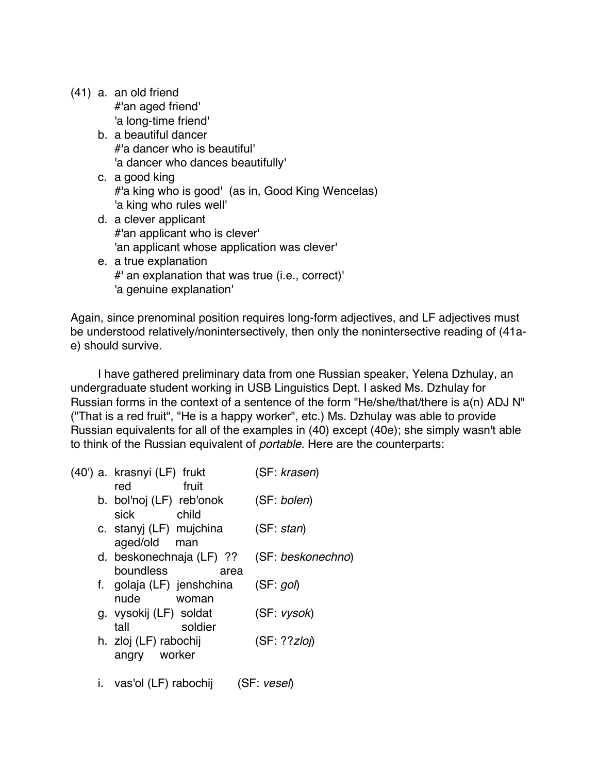|  | (41) a. an old friend |  |
|--|-----------------------|--|
|  | #'an aged friend'     |  |
|  | 'a long-time friend'  |  |

- b. a beautiful dancer #'a dancer who is beautiful' 'a dancer who dances beautifully'
- c. a good king #'a king who is good' (as in, Good King Wencelas) 'a king who rules well'
- d. a clever applicant #'an applicant who is clever' 'an applicant whose application was clever'
- e. a true explanation #' an explanation that was true (i.e., correct)' 'a genuine explanation'

Again, since prenominal position requires long-form adjectives, and LF adjectives must be understood relatively/nonintersectively, then only the nonintersective reading of (41ae) should survive.

I have gathered preliminary data from one Russian speaker, Yelena Dzhulay, an undergraduate student working in USB Linguistics Dept. I asked Ms. Dzhulay for Russian forms in the context of a sentence of the form "He/she/that/there is a(n) ADJ N" ("That is a red fruit", "He is a happy worker", etc.) Ms. Dzhulay was able to provide Russian equivalents for all of the examples in (40) except (40e); she simply wasn't able to think of the Russian equivalent of *portable*. Here are the counterparts:

| (40') a. krasnyi (LF) frukt | (SF: krasen)      |
|-----------------------------|-------------------|
| fruit<br>red                |                   |
| b. bol'noj (LF) reb'onok    | (SF: bolen)       |
| sick<br>child               |                   |
| c. stanyj (LF) mujchina     | (SF: stan)        |
| aged/old man                |                   |
| d. beskonechnaja (LF) ??    | (SF: beskonechno) |
| boundless<br>area           |                   |
| f. golaja (LF) jenshchina   | (SF: qo)          |
| nude<br>woman               |                   |
| g. vysokij (LF) soldat      | (SF: vysok)       |
| soldier<br>tall             |                   |
| h. zloj (LF) rabochij       | (SF: ??zlo)       |
| worker<br>angry             |                   |
|                             |                   |

i. vas'ol (LF) rabochij (SF: *vesel*)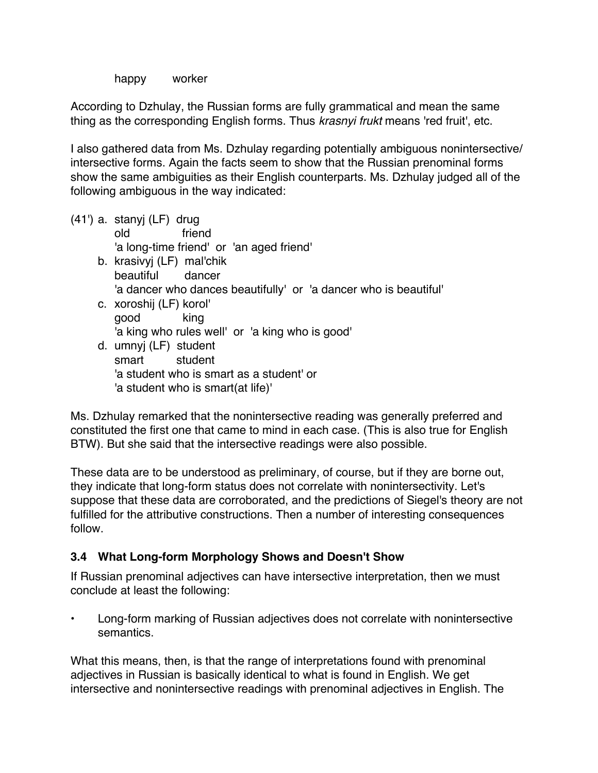happy worker

According to Dzhulay, the Russian forms are fully grammatical and mean the same thing as the corresponding English forms. Thus *krasnyi frukt* means 'red fruit', etc.

I also gathered data from Ms. Dzhulay regarding potentially ambiguous nonintersective/ intersective forms. Again the facts seem to show that the Russian prenominal forms show the same ambiguities as their English counterparts. Ms. Dzhulay judged all of the following ambiguous in the way indicated:

(41') a. stanyj (LF) drug old friend 'a long-time friend' or 'an aged friend' b. krasivyj (LF) mal'chik beautiful dancer 'a dancer who dances beautifully' or 'a dancer who is beautiful' c. xoroshij (LF) korol' good king 'a king who rules well' or 'a king who is good' d. umnyj (LF) student smart student 'a student who is smart as a student' or 'a student who is smart(at life)'

Ms. Dzhulay remarked that the nonintersective reading was generally preferred and constituted the first one that came to mind in each case. (This is also true for English BTW). But she said that the intersective readings were also possible.

These data are to be understood as preliminary, of course, but if they are borne out, they indicate that long-form status does not correlate with nonintersectivity. Let's suppose that these data are corroborated, and the predictions of Siegel's theory are not fulfilled for the attributive constructions. Then a number of interesting consequences follow.

#### **3.4 What Long-form Morphology Shows and Doesn't Show**

If Russian prenominal adjectives can have intersective interpretation, then we must conclude at least the following:

• Long-form marking of Russian adjectives does not correlate with nonintersective semantics.

What this means, then, is that the range of interpretations found with prenominal adjectives in Russian is basically identical to what is found in English. We get intersective and nonintersective readings with prenominal adjectives in English. The